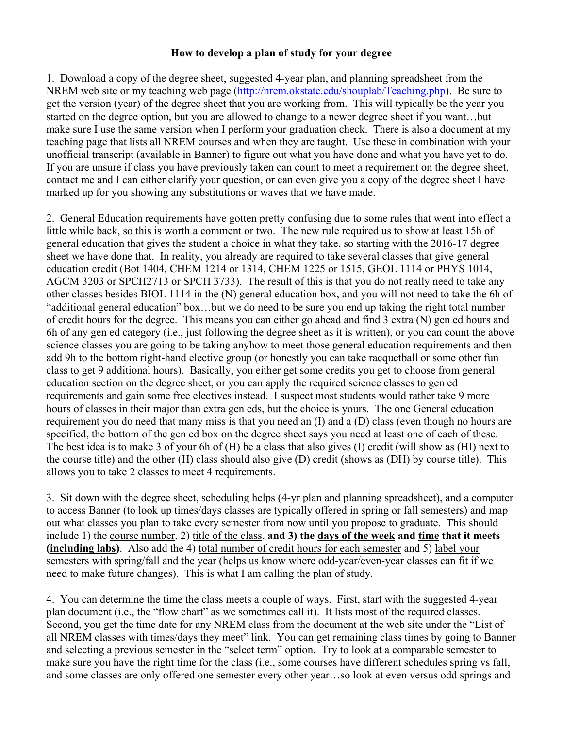## **How to develop a plan of study for your degree**

1. Download a copy of the degree sheet, suggested 4-year plan, and planning spreadsheet from the NREM web site or my teaching web page [\(http://nrem.okstate.edu/shouplab/Teaching.php\)](http://nrem.okstate.edu/shouplab/Teaching.php). Be sure to get the version (year) of the degree sheet that you are working from. This will typically be the year you started on the degree option, but you are allowed to change to a newer degree sheet if you want…but make sure I use the same version when I perform your graduation check. There is also a document at my teaching page that lists all NREM courses and when they are taught. Use these in combination with your unofficial transcript (available in Banner) to figure out what you have done and what you have yet to do. If you are unsure if class you have previously taken can count to meet a requirement on the degree sheet, contact me and I can either clarify your question, or can even give you a copy of the degree sheet I have marked up for you showing any substitutions or waves that we have made.

2. General Education requirements have gotten pretty confusing due to some rules that went into effect a little while back, so this is worth a comment or two. The new rule required us to show at least 15h of general education that gives the student a choice in what they take, so starting with the 2016-17 degree sheet we have done that. In reality, you already are required to take several classes that give general education credit (Bot 1404, CHEM 1214 or 1314, CHEM 1225 or 1515, GEOL 1114 or PHYS 1014, AGCM 3203 or SPCH2713 or SPCH 3733). The result of this is that you do not really need to take any other classes besides BIOL 1114 in the (N) general education box, and you will not need to take the 6h of "additional general education" box…but we do need to be sure you end up taking the right total number of credit hours for the degree. This means you can either go ahead and find 3 extra (N) gen ed hours and 6h of any gen ed category (i.e., just following the degree sheet as it is written), or you can count the above science classes you are going to be taking anyhow to meet those general education requirements and then add 9h to the bottom right-hand elective group (or honestly you can take racquetball or some other fun class to get 9 additional hours). Basically, you either get some credits you get to choose from general education section on the degree sheet, or you can apply the required science classes to gen ed requirements and gain some free electives instead. I suspect most students would rather take 9 more hours of classes in their major than extra gen eds, but the choice is yours. The one General education requirement you do need that many miss is that you need an (I) and a (D) class (even though no hours are specified, the bottom of the gen ed box on the degree sheet says you need at least one of each of these. The best idea is to make 3 of your 6h of (H) be a class that also gives (I) credit (will show as (HI) next to the course title) and the other (H) class should also give (D) credit (shows as (DH) by course title). This allows you to take 2 classes to meet 4 requirements.

3. Sit down with the degree sheet, scheduling helps (4-yr plan and planning spreadsheet), and a computer to access Banner (to look up times/days classes are typically offered in spring or fall semesters) and map out what classes you plan to take every semester from now until you propose to graduate. This should include 1) the course number, 2) title of the class, **and 3) the days of the week and time that it meets (including labs)**. Also add the 4) total number of credit hours for each semester and 5) label your semesters with spring/fall and the year (helps us know where odd-year/even-year classes can fit if we need to make future changes). This is what I am calling the plan of study.

4. You can determine the time the class meets a couple of ways. First, start with the suggested 4-year plan document (i.e., the "flow chart" as we sometimes call it). It lists most of the required classes. Second, you get the time date for any NREM class from the document at the web site under the "List of all NREM classes with times/days they meet" link. You can get remaining class times by going to Banner and selecting a previous semester in the "select term" option. Try to look at a comparable semester to make sure you have the right time for the class (i.e., some courses have different schedules spring vs fall, and some classes are only offered one semester every other year…so look at even versus odd springs and